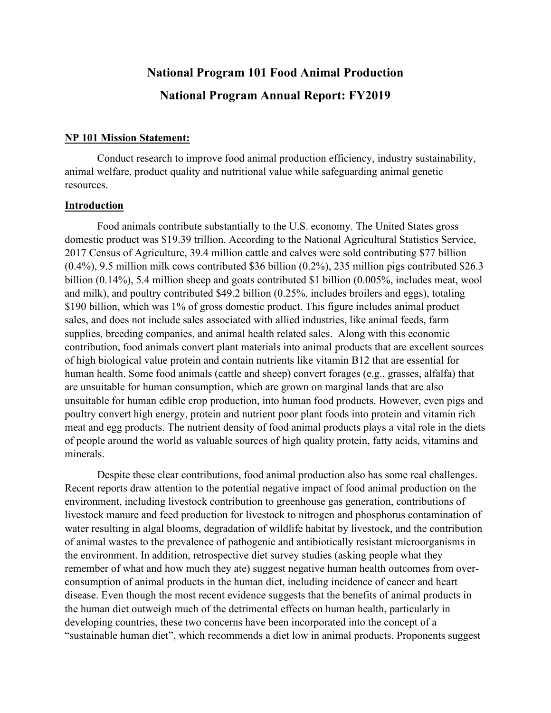# **National Program 101 Food Animal Production National Program Annual Report: FY2019**

#### **NP 101 Mission Statement:**

Conduct research to improve food animal production efficiency, industry sustainability, animal welfare, product quality and nutritional value while safeguarding animal genetic resources.

#### **Introduction**

Food animals contribute substantially to the U.S. economy. The United States gross domestic product was \$19.39 trillion. According to the National Agricultural Statistics Service, 2017 Census of Agriculture, 39.4 million cattle and calves were sold contributing \$77 billion (0.4%), 9.5 million milk cows contributed \$36 billion (0.2%), 235 million pigs contributed \$26.3 billion (0.14%), 5.4 million sheep and goats contributed \$1 billion (0.005%, includes meat, wool and milk), and poultry contributed \$49.2 billion (0.25%, includes broilers and eggs), totaling \$190 billion, which was 1% of gross domestic product. This figure includes animal product sales, and does not include sales associated with allied industries, like animal feeds, farm supplies, breeding companies, and animal health related sales. Along with this economic contribution, food animals convert plant materials into animal products that are excellent sources of high biological value protein and contain nutrients like vitamin B12 that are essential for human health. Some food animals (cattle and sheep) convert forages (e.g., grasses, alfalfa) that are unsuitable for human consumption, which are grown on marginal lands that are also unsuitable for human edible crop production, into human food products. However, even pigs and poultry convert high energy, protein and nutrient poor plant foods into protein and vitamin rich meat and egg products. The nutrient density of food animal products plays a vital role in the diets of people around the world as valuable sources of high quality protein, fatty acids, vitamins and minerals.

Despite these clear contributions, food animal production also has some real challenges. Recent reports draw attention to the potential negative impact of food animal production on the environment, including livestock contribution to greenhouse gas generation, contributions of livestock manure and feed production for livestock to nitrogen and phosphorus contamination of water resulting in algal blooms, degradation of wildlife habitat by livestock, and the contribution of animal wastes to the prevalence of pathogenic and antibiotically resistant microorganisms in the environment. In addition, retrospective diet survey studies (asking people what they remember of what and how much they ate) suggest negative human health outcomes from overconsumption of animal products in the human diet, including incidence of cancer and heart disease. Even though the most recent evidence suggests that the benefits of animal products in the human diet outweigh much of the detrimental effects on human health, particularly in developing countries, these two concerns have been incorporated into the concept of a "sustainable human diet", which recommends a diet low in animal products. Proponents suggest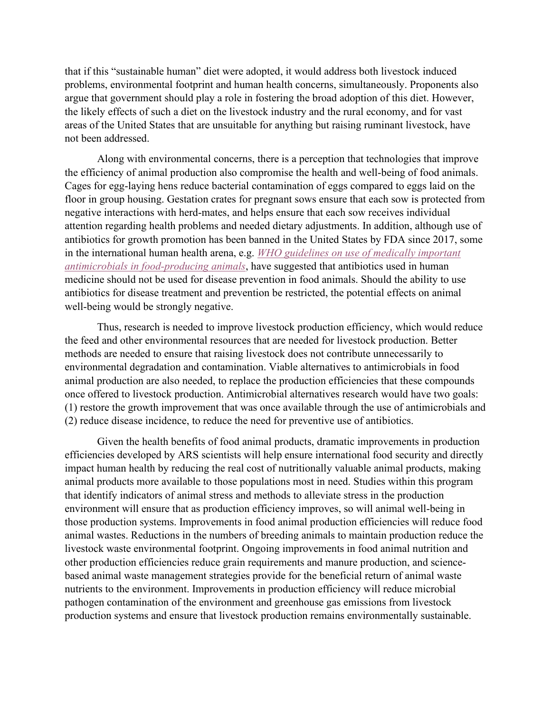that if this "sustainable human" diet were adopted, it would address both livestock induced problems, environmental footprint and human health concerns, simultaneously. Proponents also argue that government should play a role in fostering the broad adoption of this diet. However, the likely effects of such a diet on the livestock industry and the rural economy, and for vast areas of the United States that are unsuitable for anything but raising ruminant livestock, have not been addressed.

Along with environmental concerns, there is a perception that technologies that improve the efficiency of animal production also compromise the health and well-being of food animals. Cages for egg-laying hens reduce bacterial contamination of eggs compared to eggs laid on the floor in group housing. Gestation crates for pregnant sows ensure that each sow is protected from negative interactions with herd-mates, and helps ensure that each sow receives individual attention regarding health problems and needed dietary adjustments. In addition, although use of antibiotics for growth promotion has been banned in the United States by FDA since 2017, some in the international human health arena, e.g. *[WHO guidelines on use of medically important](https://www.who.int/entity/foodsafety/areas_work/antimicrobial-resistance/cia_guidelines/en/index.html)  [antimicrobials in food-producing animals](https://www.who.int/entity/foodsafety/areas_work/antimicrobial-resistance/cia_guidelines/en/index.html)*, have suggested that antibiotics used in human medicine should not be used for disease prevention in food animals. Should the ability to use antibiotics for disease treatment and prevention be restricted, the potential effects on animal well-being would be strongly negative.

Thus, research is needed to improve livestock production efficiency, which would reduce the feed and other environmental resources that are needed for livestock production. Better methods are needed to ensure that raising livestock does not contribute unnecessarily to environmental degradation and contamination. Viable alternatives to antimicrobials in food animal production are also needed, to replace the production efficiencies that these compounds once offered to livestock production. Antimicrobial alternatives research would have two goals: (1) restore the growth improvement that was once available through the use of antimicrobials and (2) reduce disease incidence, to reduce the need for preventive use of antibiotics.

Given the health benefits of food animal products, dramatic improvements in production efficiencies developed by ARS scientists will help ensure international food security and directly impact human health by reducing the real cost of nutritionally valuable animal products, making animal products more available to those populations most in need. Studies within this program that identify indicators of animal stress and methods to alleviate stress in the production environment will ensure that as production efficiency improves, so will animal well-being in those production systems. Improvements in food animal production efficiencies will reduce food animal wastes. Reductions in the numbers of breeding animals to maintain production reduce the livestock waste environmental footprint. Ongoing improvements in food animal nutrition and other production efficiencies reduce grain requirements and manure production, and sciencebased animal waste management strategies provide for the beneficial return of animal waste nutrients to the environment. Improvements in production efficiency will reduce microbial pathogen contamination of the environment and greenhouse gas emissions from livestock production systems and ensure that livestock production remains environmentally sustainable.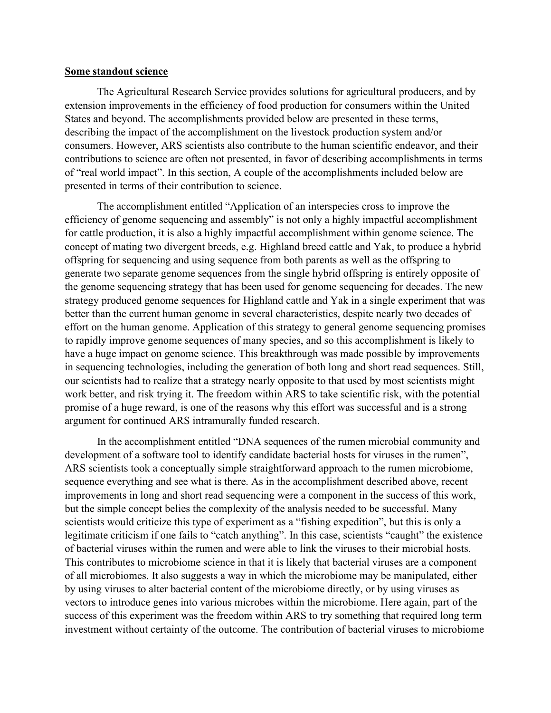#### **Some standout science**

The Agricultural Research Service provides solutions for agricultural producers, and by extension improvements in the efficiency of food production for consumers within the United States and beyond. The accomplishments provided below are presented in these terms, describing the impact of the accomplishment on the livestock production system and/or consumers. However, ARS scientists also contribute to the human scientific endeavor, and their contributions to science are often not presented, in favor of describing accomplishments in terms of "real world impact". In this section, A couple of the accomplishments included below are presented in terms of their contribution to science.

The accomplishment entitled "Application of an interspecies cross to improve the efficiency of genome sequencing and assembly" is not only a highly impactful accomplishment for cattle production, it is also a highly impactful accomplishment within genome science. The concept of mating two divergent breeds, e.g. Highland breed cattle and Yak, to produce a hybrid offspring for sequencing and using sequence from both parents as well as the offspring to generate two separate genome sequences from the single hybrid offspring is entirely opposite of the genome sequencing strategy that has been used for genome sequencing for decades. The new strategy produced genome sequences for Highland cattle and Yak in a single experiment that was better than the current human genome in several characteristics, despite nearly two decades of effort on the human genome. Application of this strategy to general genome sequencing promises to rapidly improve genome sequences of many species, and so this accomplishment is likely to have a huge impact on genome science. This breakthrough was made possible by improvements in sequencing technologies, including the generation of both long and short read sequences. Still, our scientists had to realize that a strategy nearly opposite to that used by most scientists might work better, and risk trying it. The freedom within ARS to take scientific risk, with the potential promise of a huge reward, is one of the reasons why this effort was successful and is a strong argument for continued ARS intramurally funded research.

In the accomplishment entitled "DNA sequences of the rumen microbial community and development of a software tool to identify candidate bacterial hosts for viruses in the rumen", ARS scientists took a conceptually simple straightforward approach to the rumen microbiome, sequence everything and see what is there. As in the accomplishment described above, recent improvements in long and short read sequencing were a component in the success of this work, but the simple concept belies the complexity of the analysis needed to be successful. Many scientists would criticize this type of experiment as a "fishing expedition", but this is only a legitimate criticism if one fails to "catch anything". In this case, scientists "caught" the existence of bacterial viruses within the rumen and were able to link the viruses to their microbial hosts. This contributes to microbiome science in that it is likely that bacterial viruses are a component of all microbiomes. It also suggests a way in which the microbiome may be manipulated, either by using viruses to alter bacterial content of the microbiome directly, or by using viruses as vectors to introduce genes into various microbes within the microbiome. Here again, part of the success of this experiment was the freedom within ARS to try something that required long term investment without certainty of the outcome. The contribution of bacterial viruses to microbiome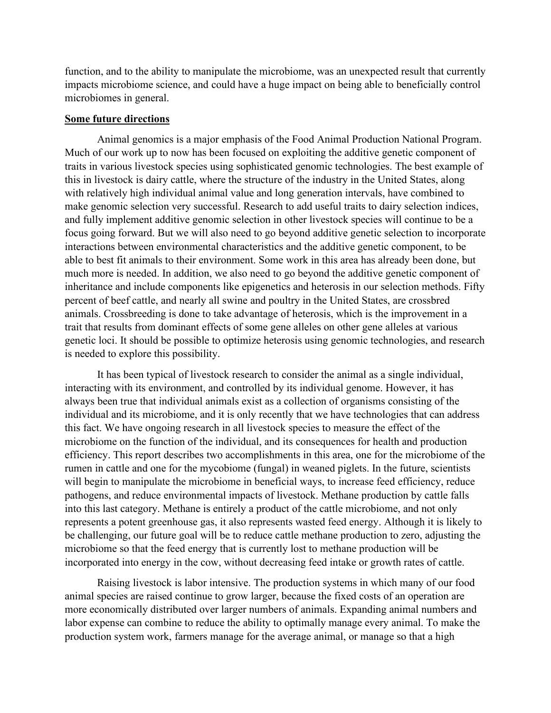function, and to the ability to manipulate the microbiome, was an unexpected result that currently impacts microbiome science, and could have a huge impact on being able to beneficially control microbiomes in general.

#### **Some future directions**

Animal genomics is a major emphasis of the Food Animal Production National Program. Much of our work up to now has been focused on exploiting the additive genetic component of traits in various livestock species using sophisticated genomic technologies. The best example of this in livestock is dairy cattle, where the structure of the industry in the United States, along with relatively high individual animal value and long generation intervals, have combined to make genomic selection very successful. Research to add useful traits to dairy selection indices, and fully implement additive genomic selection in other livestock species will continue to be a focus going forward. But we will also need to go beyond additive genetic selection to incorporate interactions between environmental characteristics and the additive genetic component, to be able to best fit animals to their environment. Some work in this area has already been done, but much more is needed. In addition, we also need to go beyond the additive genetic component of inheritance and include components like epigenetics and heterosis in our selection methods. Fifty percent of beef cattle, and nearly all swine and poultry in the United States, are crossbred animals. Crossbreeding is done to take advantage of heterosis, which is the improvement in a trait that results from dominant effects of some gene alleles on other gene alleles at various genetic loci. It should be possible to optimize heterosis using genomic technologies, and research is needed to explore this possibility.

It has been typical of livestock research to consider the animal as a single individual, interacting with its environment, and controlled by its individual genome. However, it has always been true that individual animals exist as a collection of organisms consisting of the individual and its microbiome, and it is only recently that we have technologies that can address this fact. We have ongoing research in all livestock species to measure the effect of the microbiome on the function of the individual, and its consequences for health and production efficiency. This report describes two accomplishments in this area, one for the microbiome of the rumen in cattle and one for the mycobiome (fungal) in weaned piglets. In the future, scientists will begin to manipulate the microbiome in beneficial ways, to increase feed efficiency, reduce pathogens, and reduce environmental impacts of livestock. Methane production by cattle falls into this last category. Methane is entirely a product of the cattle microbiome, and not only represents a potent greenhouse gas, it also represents wasted feed energy. Although it is likely to be challenging, our future goal will be to reduce cattle methane production to zero, adjusting the microbiome so that the feed energy that is currently lost to methane production will be incorporated into energy in the cow, without decreasing feed intake or growth rates of cattle.

Raising livestock is labor intensive. The production systems in which many of our food animal species are raised continue to grow larger, because the fixed costs of an operation are more economically distributed over larger numbers of animals. Expanding animal numbers and labor expense can combine to reduce the ability to optimally manage every animal. To make the production system work, farmers manage for the average animal, or manage so that a high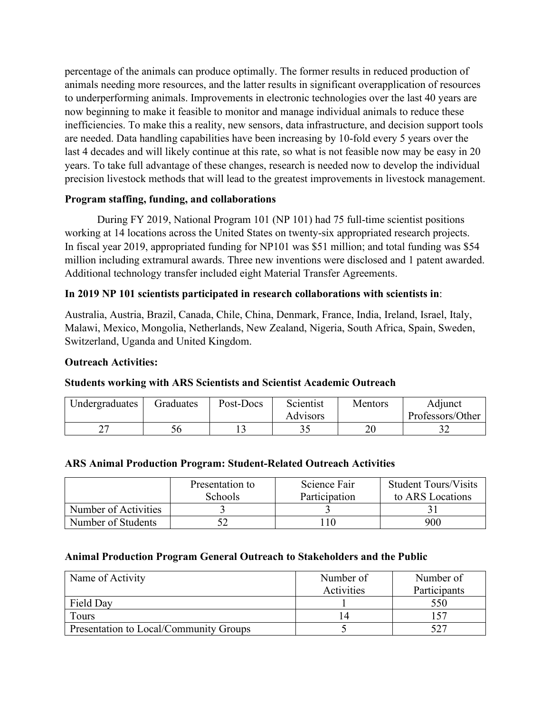percentage of the animals can produce optimally. The former results in reduced production of animals needing more resources, and the latter results in significant overapplication of resources to underperforming animals. Improvements in electronic technologies over the last 40 years are now beginning to make it feasible to monitor and manage individual animals to reduce these inefficiencies. To make this a reality, new sensors, data infrastructure, and decision support tools are needed. Data handling capabilities have been increasing by 10-fold every 5 years over the last 4 decades and will likely continue at this rate, so what is not feasible now may be easy in 20 years. To take full advantage of these changes, research is needed now to develop the individual precision livestock methods that will lead to the greatest improvements in livestock management.

### **Program staffing, funding, and collaborations**

During FY 2019, National Program 101 (NP 101) had 75 full-time scientist positions working at 14 locations across the United States on twenty-six appropriated research projects. In fiscal year 2019, appropriated funding for NP101 was \$51 million; and total funding was \$54 million including extramural awards. Three new inventions were disclosed and 1 patent awarded. Additional technology transfer included eight Material Transfer Agreements.

### **In 2019 NP 101 scientists participated in research collaborations with scientists in**:

Australia, Austria, Brazil, Canada, Chile, China, Denmark, France, India, Ireland, Israel, Italy, Malawi, Mexico, Mongolia, Netherlands, New Zealand, Nigeria, South Africa, Spain, Sweden, Switzerland, Uganda and United Kingdom.

#### **Outreach Activities:**

### **Students working with ARS Scientists and Scientist Academic Outreach**

| Undergraduates | Graduates | Post-Docs | Scientist | Mentors | Adjunct          |
|----------------|-----------|-----------|-----------|---------|------------------|
|                |           |           | Advisors  |         | Professors/Other |
|                |           |           |           | 20      |                  |

#### **ARS Animal Production Program: Student-Related Outreach Activities**

|                      | Presentation to | Science Fair  | <b>Student Tours/Visits</b> |
|----------------------|-----------------|---------------|-----------------------------|
|                      | <b>Schools</b>  | Participation | to ARS Locations            |
| Number of Activities |                 |               |                             |
| Number of Students   |                 |               | 900                         |

#### **Animal Production Program General Outreach to Stakeholders and the Public**

| Name of Activity                       | Number of  | Number of    |  |
|----------------------------------------|------------|--------------|--|
|                                        | Activities | Participants |  |
| Field Day                              |            | 550          |  |
| Tours                                  |            |              |  |
| Presentation to Local/Community Groups |            | 527          |  |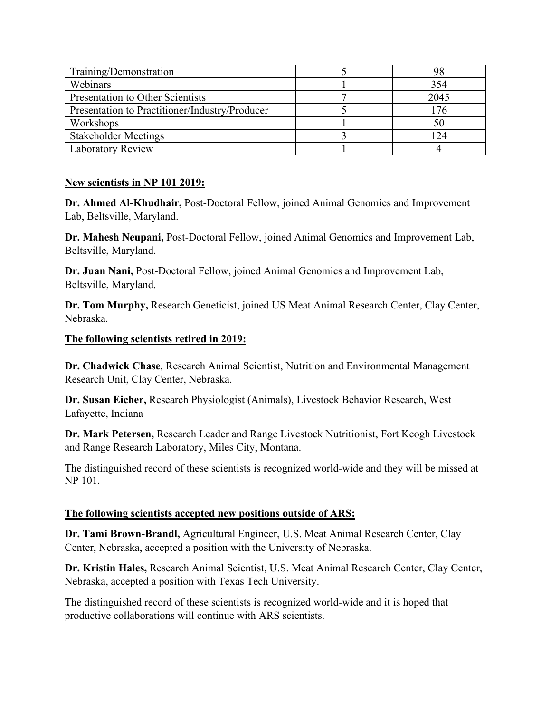| Training/Demonstration                         | 98   |
|------------------------------------------------|------|
| Webinars                                       | 354  |
| Presentation to Other Scientists               | 2045 |
| Presentation to Practitioner/Industry/Producer | 176  |
| Workshops                                      | 50   |
| <b>Stakeholder Meetings</b>                    | 124  |
| <b>Laboratory Review</b>                       |      |

#### **New scientists in NP 101 2019:**

**Dr. Ahmed Al-Khudhair,** Post-Doctoral Fellow, joined Animal Genomics and Improvement Lab, Beltsville, Maryland.

**Dr. Mahesh Neupani,** Post-Doctoral Fellow, joined Animal Genomics and Improvement Lab, Beltsville, Maryland.

**Dr. Juan Nani,** Post-Doctoral Fellow, joined Animal Genomics and Improvement Lab, Beltsville, Maryland.

**Dr. Tom Murphy,** Research Geneticist, joined US Meat Animal Research Center, Clay Center, Nebraska.

#### **The following scientists retired in 2019:**

**Dr. Chadwick Chase**, Research Animal Scientist, Nutrition and Environmental Management Research Unit, Clay Center, Nebraska.

**Dr. Susan Eicher,** Research Physiologist (Animals), Livestock Behavior Research, West Lafayette, Indiana

**Dr. Mark Petersen,** Research Leader and Range Livestock Nutritionist, Fort Keogh Livestock and Range Research Laboratory, Miles City, Montana.

The distinguished record of these scientists is recognized world-wide and they will be missed at NP 101.

### **The following scientists accepted new positions outside of ARS:**

**Dr. Tami Brown-Brandl,** Agricultural Engineer, U.S. Meat Animal Research Center, Clay Center, Nebraska, accepted a position with the University of Nebraska.

**Dr. Kristin Hales,** Research Animal Scientist, U.S. Meat Animal Research Center, Clay Center, Nebraska, accepted a position with Texas Tech University.

The distinguished record of these scientists is recognized world-wide and it is hoped that productive collaborations will continue with ARS scientists.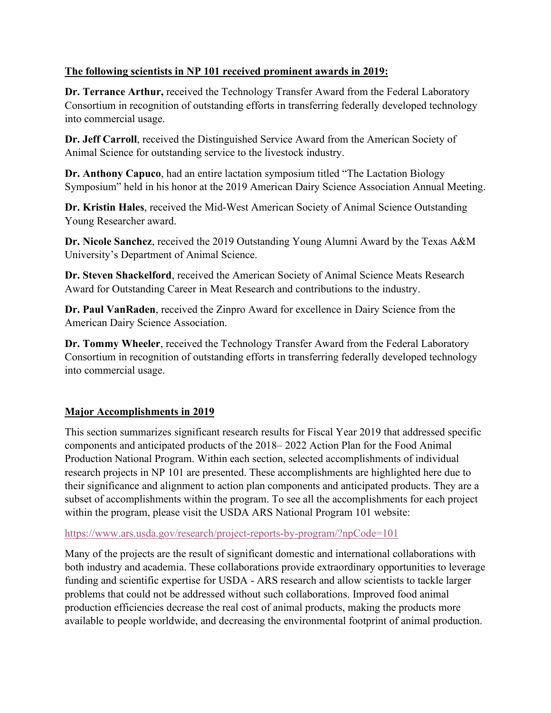# **The following scientists in NP 101 received prominent awards in 2019:**

**Dr. Terrance Arthur,** received the Technology Transfer Award from the Federal Laboratory Consortium in recognition of outstanding efforts in transferring federally developed technology into commercial usage.

**Dr. Jeff Carroll**, received the Distinguished Service Award from the American Society of Animal Science for outstanding service to the livestock industry.

**Dr. Anthony Capuco**, had an entire lactation symposium titled "The Lactation Biology Symposium" held in his honor at the 2019 American Dairy Science Association Annual Meeting.

**Dr. Kristin Hales**, received the Mid-West American Society of Animal Science Outstanding Young Researcher award.

**Dr. Nicole Sanchez**, received the 2019 Outstanding Young Alumni Award by the Texas A&M University's Department of Animal Science.

**Dr. Steven Shackelford**, received the American Society of Animal Science Meats Research Award for Outstanding Career in Meat Research and contributions to the industry.

**Dr. Paul VanRaden**, received the Zinpro Award for excellence in Dairy Science from the American Dairy Science Association.

**Dr. Tommy Wheeler**, received the Technology Transfer Award from the Federal Laboratory Consortium in recognition of outstanding efforts in transferring federally developed technology into commercial usage.

# **Major Accomplishments in 2019**

This section summarizes significant research results for Fiscal Year 2019 that addressed specific components and anticipated products of the 2018– 2022 Action Plan for the Food Animal Production National Program. Within each section, selected accomplishments of individual research projects in NP 101 are presented. These accomplishments are highlighted here due to their significance and alignment to action plan components and anticipated products. They are a subset of accomplishments within the program. To see all the accomplishments for each project within the program, please visit the USDA ARS National Program 101 website:

### <https://www.ars.usda.gov/research/project-reports-by-program/?npCode=101>

Many of the projects are the result of significant domestic and international collaborations with both industry and academia. These collaborations provide extraordinary opportunities to leverage funding and scientific expertise for USDA - ARS research and allow scientists to tackle larger problems that could not be addressed without such collaborations. Improved food animal production efficiencies decrease the real cost of animal products, making the products more available to people worldwide, and decreasing the environmental footprint of animal production.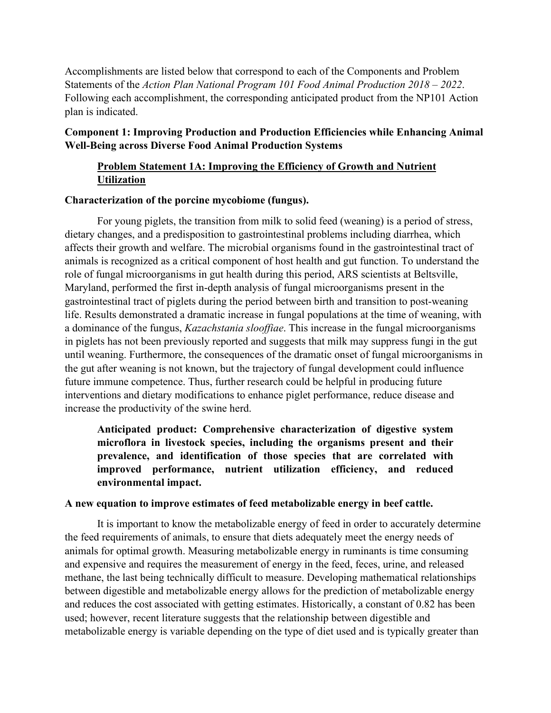Accomplishments are listed below that correspond to each of the Components and Problem Statements of the *Action Plan National Program 101 Food Animal Production 2018 – 2022*. Following each accomplishment, the corresponding anticipated product from the NP101 Action plan is indicated.

### **Component 1: Improving Production and Production Efficiencies while Enhancing Animal Well-Being across Diverse Food Animal Production Systems**

# **Problem Statement 1A: Improving the Efficiency of Growth and Nutrient Utilization**

#### **Characterization of the porcine mycobiome (fungus).**

For young piglets, the transition from milk to solid feed (weaning) is a period of stress, dietary changes, and a predisposition to gastrointestinal problems including diarrhea, which affects their growth and welfare. The microbial organisms found in the gastrointestinal tract of animals is recognized as a critical component of host health and gut function. To understand the role of fungal microorganisms in gut health during this period, ARS scientists at Beltsville, Maryland, performed the first in-depth analysis of fungal microorganisms present in the gastrointestinal tract of piglets during the period between birth and transition to post-weaning life. Results demonstrated a dramatic increase in fungal populations at the time of weaning, with a dominance of the fungus, *Kazachstania slooffiae*. This increase in the fungal microorganisms in piglets has not been previously reported and suggests that milk may suppress fungi in the gut until weaning. Furthermore, the consequences of the dramatic onset of fungal microorganisms in the gut after weaning is not known, but the trajectory of fungal development could influence future immune competence. Thus, further research could be helpful in producing future interventions and dietary modifications to enhance piglet performance, reduce disease and increase the productivity of the swine herd.

**Anticipated product: Comprehensive characterization of digestive system microflora in livestock species, including the organisms present and their prevalence, and identification of those species that are correlated with improved performance, nutrient utilization efficiency, and reduced environmental impact.** 

#### **A new equation to improve estimates of feed metabolizable energy in beef cattle.**

It is important to know the metabolizable energy of feed in order to accurately determine the feed requirements of animals, to ensure that diets adequately meet the energy needs of animals for optimal growth. Measuring metabolizable energy in ruminants is time consuming and expensive and requires the measurement of energy in the feed, feces, urine, and released methane, the last being technically difficult to measure. Developing mathematical relationships between digestible and metabolizable energy allows for the prediction of metabolizable energy and reduces the cost associated with getting estimates. Historically, a constant of 0.82 has been used; however, recent literature suggests that the relationship between digestible and metabolizable energy is variable depending on the type of diet used and is typically greater than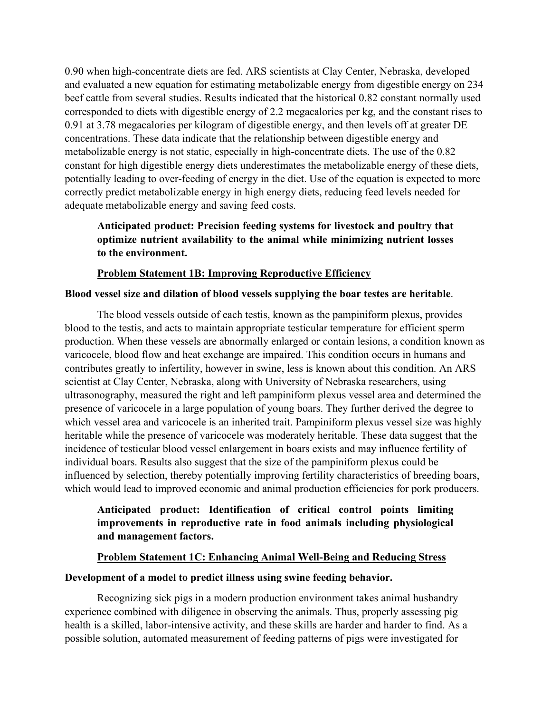0.90 when high-concentrate diets are fed. ARS scientists at Clay Center, Nebraska, developed and evaluated a new equation for estimating metabolizable energy from digestible energy on 234 beef cattle from several studies. Results indicated that the historical 0.82 constant normally used corresponded to diets with digestible energy of 2.2 megacalories per kg, and the constant rises to 0.91 at 3.78 megacalories per kilogram of digestible energy, and then levels off at greater DE concentrations. These data indicate that the relationship between digestible energy and metabolizable energy is not static, especially in high-concentrate diets. The use of the 0.82 constant for high digestible energy diets underestimates the metabolizable energy of these diets, potentially leading to over-feeding of energy in the diet. Use of the equation is expected to more correctly predict metabolizable energy in high energy diets, reducing feed levels needed for adequate metabolizable energy and saving feed costs.

# **Anticipated product: Precision feeding systems for livestock and poultry that optimize nutrient availability to the animal while minimizing nutrient losses to the environment.**

#### **Problem Statement 1B: Improving Reproductive Efficiency**

#### **Blood vessel size and dilation of blood vessels supplying the boar testes are heritable**.

The blood vessels outside of each testis, known as the pampiniform plexus, provides blood to the testis, and acts to maintain appropriate testicular temperature for efficient sperm production. When these vessels are abnormally enlarged or contain lesions, a condition known as varicocele, blood flow and heat exchange are impaired. This condition occurs in humans and contributes greatly to infertility, however in swine, less is known about this condition. An ARS scientist at Clay Center, Nebraska, along with University of Nebraska researchers, using ultrasonography, measured the right and left pampiniform plexus vessel area and determined the presence of varicocele in a large population of young boars. They further derived the degree to which vessel area and varicocele is an inherited trait. Pampiniform plexus vessel size was highly heritable while the presence of varicocele was moderately heritable. These data suggest that the incidence of testicular blood vessel enlargement in boars exists and may influence fertility of individual boars. Results also suggest that the size of the pampiniform plexus could be influenced by selection, thereby potentially improving fertility characteristics of breeding boars, which would lead to improved economic and animal production efficiencies for pork producers.

# **Anticipated product: Identification of critical control points limiting improvements in reproductive rate in food animals including physiological and management factors.**

#### **Problem Statement 1C: Enhancing Animal Well-Being and Reducing Stress**

#### **Development of a model to predict illness using swine feeding behavior.**

Recognizing sick pigs in a modern production environment takes animal husbandry experience combined with diligence in observing the animals. Thus, properly assessing pig health is a skilled, labor-intensive activity, and these skills are harder and harder to find. As a possible solution, automated measurement of feeding patterns of pigs were investigated for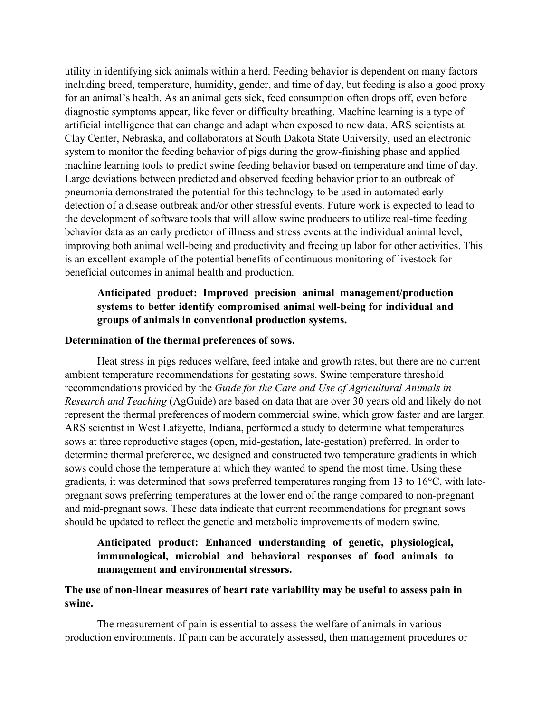utility in identifying sick animals within a herd. Feeding behavior is dependent on many factors including breed, temperature, humidity, gender, and time of day, but feeding is also a good proxy for an animal's health. As an animal gets sick, feed consumption often drops off, even before diagnostic symptoms appear, like fever or difficulty breathing. Machine learning is a type of artificial intelligence that can change and adapt when exposed to new data. ARS scientists at Clay Center, Nebraska, and collaborators at South Dakota State University, used an electronic system to monitor the feeding behavior of pigs during the grow-finishing phase and applied machine learning tools to predict swine feeding behavior based on temperature and time of day. Large deviations between predicted and observed feeding behavior prior to an outbreak of pneumonia demonstrated the potential for this technology to be used in automated early detection of a disease outbreak and/or other stressful events. Future work is expected to lead to the development of software tools that will allow swine producers to utilize real-time feeding behavior data as an early predictor of illness and stress events at the individual animal level, improving both animal well-being and productivity and freeing up labor for other activities. This is an excellent example of the potential benefits of continuous monitoring of livestock for beneficial outcomes in animal health and production.

# **Anticipated product: Improved precision animal management/production systems to better identify compromised animal well-being for individual and groups of animals in conventional production systems.**

#### **Determination of the thermal preferences of sows.**

Heat stress in pigs reduces welfare, feed intake and growth rates, but there are no current ambient temperature recommendations for gestating sows. Swine temperature threshold recommendations provided by the *Guide for the Care and Use of Agricultural Animals in Research and Teaching* (AgGuide) are based on data that are over 30 years old and likely do not represent the thermal preferences of modern commercial swine, which grow faster and are larger. ARS scientist in West Lafayette, Indiana, performed a study to determine what temperatures sows at three reproductive stages (open, mid-gestation, late-gestation) preferred. In order to determine thermal preference, we designed and constructed two temperature gradients in which sows could chose the temperature at which they wanted to spend the most time. Using these gradients, it was determined that sows preferred temperatures ranging from 13 to 16°C, with latepregnant sows preferring temperatures at the lower end of the range compared to non-pregnant and mid-pregnant sows. These data indicate that current recommendations for pregnant sows should be updated to reflect the genetic and metabolic improvements of modern swine.

### **Anticipated product: Enhanced understanding of genetic, physiological, immunological, microbial and behavioral responses of food animals to management and environmental stressors.**

#### **The use of non-linear measures of heart rate variability may be useful to assess pain in swine.**

The measurement of pain is essential to assess the welfare of animals in various production environments. If pain can be accurately assessed, then management procedures or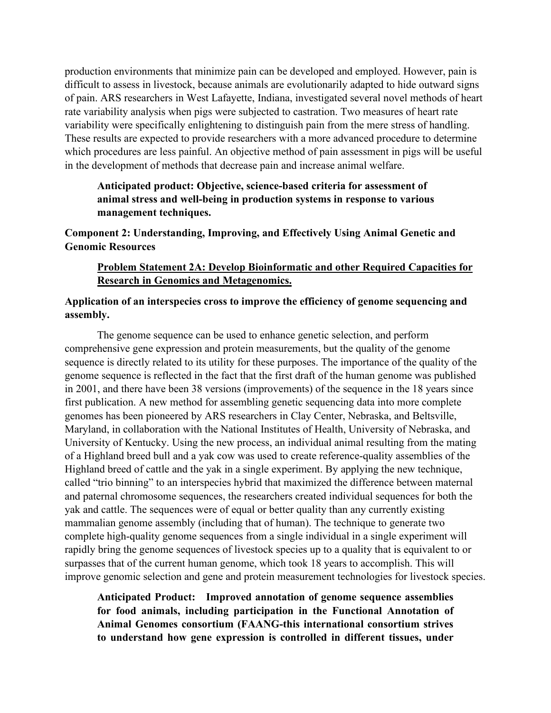production environments that minimize pain can be developed and employed. However, pain is difficult to assess in livestock, because animals are evolutionarily adapted to hide outward signs of pain. ARS researchers in West Lafayette, Indiana, investigated several novel methods of heart rate variability analysis when pigs were subjected to castration. Two measures of heart rate variability were specifically enlightening to distinguish pain from the mere stress of handling. These results are expected to provide researchers with a more advanced procedure to determine which procedures are less painful. An objective method of pain assessment in pigs will be useful in the development of methods that decrease pain and increase animal welfare.

**Anticipated product: Objective, science-based criteria for assessment of animal stress and well-being in production systems in response to various management techniques.**

**Component 2: Understanding, Improving, and Effectively Using Animal Genetic and Genomic Resources**

### **Problem Statement 2A: Develop Bioinformatic and other Required Capacities for Research in Genomics and Metagenomics.**

#### **Application of an interspecies cross to improve the efficiency of genome sequencing and assembly.**

The genome sequence can be used to enhance genetic selection, and perform comprehensive gene expression and protein measurements, but the quality of the genome sequence is directly related to its utility for these purposes. The importance of the quality of the genome sequence is reflected in the fact that the first draft of the human genome was published in 2001, and there have been 38 versions (improvements) of the sequence in the 18 years since first publication. A new method for assembling genetic sequencing data into more complete genomes has been pioneered by ARS researchers in Clay Center, Nebraska, and Beltsville, Maryland, in collaboration with the National Institutes of Health, University of Nebraska, and University of Kentucky. Using the new process, an individual animal resulting from the mating of a Highland breed bull and a yak cow was used to create reference-quality assemblies of the Highland breed of cattle and the yak in a single experiment. By applying the new technique, called "trio binning" to an interspecies hybrid that maximized the difference between maternal and paternal chromosome sequences, the researchers created individual sequences for both the yak and cattle. The sequences were of equal or better quality than any currently existing mammalian genome assembly (including that of human). The technique to generate two complete high-quality genome sequences from a single individual in a single experiment will rapidly bring the genome sequences of livestock species up to a quality that is equivalent to or surpasses that of the current human genome, which took 18 years to accomplish. This will improve genomic selection and gene and protein measurement technologies for livestock species.

**Anticipated Product: Improved annotation of genome sequence assemblies for food animals, including participation in the Functional Annotation of Animal Genomes consortium (FAANG-this international consortium strives to understand how gene expression is controlled in different tissues, under**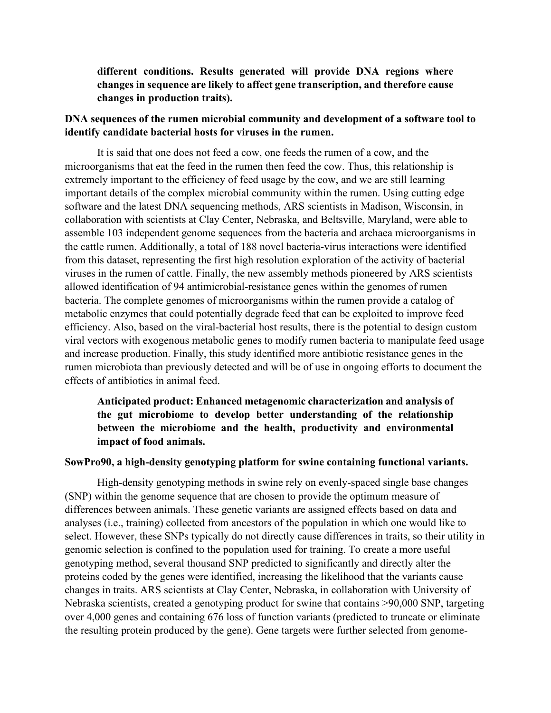### **different conditions. Results generated will provide DNA regions where changes in sequence are likely to affect gene transcription, and therefore cause changes in production traits).**

#### **DNA sequences of the rumen microbial community and development of a software tool to identify candidate bacterial hosts for viruses in the rumen.**

It is said that one does not feed a cow, one feeds the rumen of a cow, and the microorganisms that eat the feed in the rumen then feed the cow. Thus, this relationship is extremely important to the efficiency of feed usage by the cow, and we are still learning important details of the complex microbial community within the rumen. Using cutting edge software and the latest DNA sequencing methods, ARS scientists in Madison, Wisconsin, in collaboration with scientists at Clay Center, Nebraska, and Beltsville, Maryland, were able to assemble 103 independent genome sequences from the bacteria and archaea microorganisms in the cattle rumen. Additionally, a total of 188 novel bacteria-virus interactions were identified from this dataset, representing the first high resolution exploration of the activity of bacterial viruses in the rumen of cattle. Finally, the new assembly methods pioneered by ARS scientists allowed identification of 94 antimicrobial-resistance genes within the genomes of rumen bacteria. The complete genomes of microorganisms within the rumen provide a catalog of metabolic enzymes that could potentially degrade feed that can be exploited to improve feed efficiency. Also, based on the viral-bacterial host results, there is the potential to design custom viral vectors with exogenous metabolic genes to modify rumen bacteria to manipulate feed usage and increase production. Finally, this study identified more antibiotic resistance genes in the rumen microbiota than previously detected and will be of use in ongoing efforts to document the effects of antibiotics in animal feed.

**Anticipated product: Enhanced metagenomic characterization and analysis of the gut microbiome to develop better understanding of the relationship between the microbiome and the health, productivity and environmental impact of food animals.**

#### **SowPro90, a high-density genotyping platform for swine containing functional variants.**

High-density genotyping methods in swine rely on evenly-spaced single base changes (SNP) within the genome sequence that are chosen to provide the optimum measure of differences between animals. These genetic variants are assigned effects based on data and analyses (i.e., training) collected from ancestors of the population in which one would like to select. However, these SNPs typically do not directly cause differences in traits, so their utility in genomic selection is confined to the population used for training. To create a more useful genotyping method, several thousand SNP predicted to significantly and directly alter the proteins coded by the genes were identified, increasing the likelihood that the variants cause changes in traits. ARS scientists at Clay Center, Nebraska, in collaboration with University of Nebraska scientists, created a genotyping product for swine that contains >90,000 SNP, targeting over 4,000 genes and containing 676 loss of function variants (predicted to truncate or eliminate the resulting protein produced by the gene). Gene targets were further selected from genome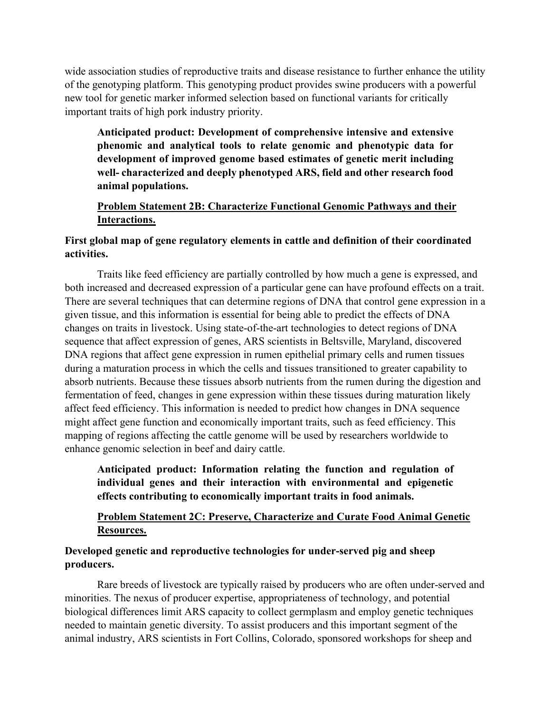wide association studies of reproductive traits and disease resistance to further enhance the utility of the genotyping platform. This genotyping product provides swine producers with a powerful new tool for genetic marker informed selection based on functional variants for critically important traits of high pork industry priority.

**Anticipated product: Development of comprehensive intensive and extensive phenomic and analytical tools to relate genomic and phenotypic data for development of improved genome based estimates of genetic merit including well- characterized and deeply phenotyped ARS, field and other research food animal populations.**

# **Problem Statement 2B: Characterize Functional Genomic Pathways and their Interactions.**

# **First global map of gene regulatory elements in cattle and definition of their coordinated activities.**

Traits like feed efficiency are partially controlled by how much a gene is expressed, and both increased and decreased expression of a particular gene can have profound effects on a trait. There are several techniques that can determine regions of DNA that control gene expression in a given tissue, and this information is essential for being able to predict the effects of DNA changes on traits in livestock. Using state-of-the-art technologies to detect regions of DNA sequence that affect expression of genes, ARS scientists in Beltsville, Maryland, discovered DNA regions that affect gene expression in rumen epithelial primary cells and rumen tissues during a maturation process in which the cells and tissues transitioned to greater capability to absorb nutrients. Because these tissues absorb nutrients from the rumen during the digestion and fermentation of feed, changes in gene expression within these tissues during maturation likely affect feed efficiency. This information is needed to predict how changes in DNA sequence might affect gene function and economically important traits, such as feed efficiency. This mapping of regions affecting the cattle genome will be used by researchers worldwide to enhance genomic selection in beef and dairy cattle.

**Anticipated product: Information relating the function and regulation of individual genes and their interaction with environmental and epigenetic effects contributing to economically important traits in food animals.**

### **Problem Statement 2C: Preserve, Characterize and Curate Food Animal Genetic Resources.**

# **Developed genetic and reproductive technologies for under-served pig and sheep producers.**

Rare breeds of livestock are typically raised by producers who are often under-served and minorities. The nexus of producer expertise, appropriateness of technology, and potential biological differences limit ARS capacity to collect germplasm and employ genetic techniques needed to maintain genetic diversity. To assist producers and this important segment of the animal industry, ARS scientists in Fort Collins, Colorado, sponsored workshops for sheep and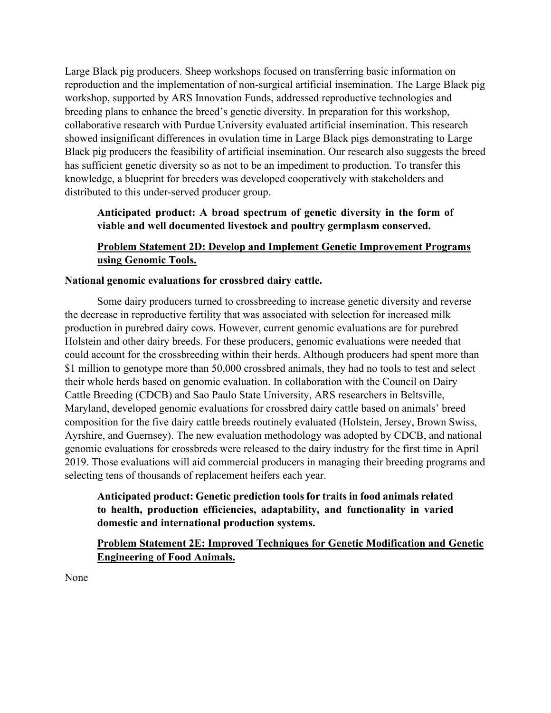Large Black pig producers. Sheep workshops focused on transferring basic information on reproduction and the implementation of non-surgical artificial insemination. The Large Black pig workshop, supported by ARS Innovation Funds, addressed reproductive technologies and breeding plans to enhance the breed's genetic diversity. In preparation for this workshop, collaborative research with Purdue University evaluated artificial insemination. This research showed insignificant differences in ovulation time in Large Black pigs demonstrating to Large Black pig producers the feasibility of artificial insemination. Our research also suggests the breed has sufficient genetic diversity so as not to be an impediment to production. To transfer this knowledge, a blueprint for breeders was developed cooperatively with stakeholders and distributed to this under-served producer group.

# **Anticipated product: A broad spectrum of genetic diversity in the form of viable and well documented livestock and poultry germplasm conserved.**

# **Problem Statement 2D: Develop and Implement Genetic Improvement Programs using Genomic Tools.**

### **National genomic evaluations for crossbred dairy cattle.**

Some dairy producers turned to crossbreeding to increase genetic diversity and reverse the decrease in reproductive fertility that was associated with selection for increased milk production in purebred dairy cows. However, current genomic evaluations are for purebred Holstein and other dairy breeds. For these producers, genomic evaluations were needed that could account for the crossbreeding within their herds. Although producers had spent more than \$1 million to genotype more than 50,000 crossbred animals, they had no tools to test and select their whole herds based on genomic evaluation. In collaboration with the Council on Dairy Cattle Breeding (CDCB) and Sao Paulo State University, ARS researchers in Beltsville, Maryland, developed genomic evaluations for crossbred dairy cattle based on animals' breed composition for the five dairy cattle breeds routinely evaluated (Holstein, Jersey, Brown Swiss, Ayrshire, and Guernsey). The new evaluation methodology was adopted by CDCB, and national genomic evaluations for crossbreds were released to the dairy industry for the first time in April 2019. Those evaluations will aid commercial producers in managing their breeding programs and selecting tens of thousands of replacement heifers each year.

# **Anticipated product: Genetic prediction tools for traits in food animals related to health, production efficiencies, adaptability, and functionality in varied domestic and international production systems.**

# **Problem Statement 2E: Improved Techniques for Genetic Modification and Genetic Engineering of Food Animals.**

None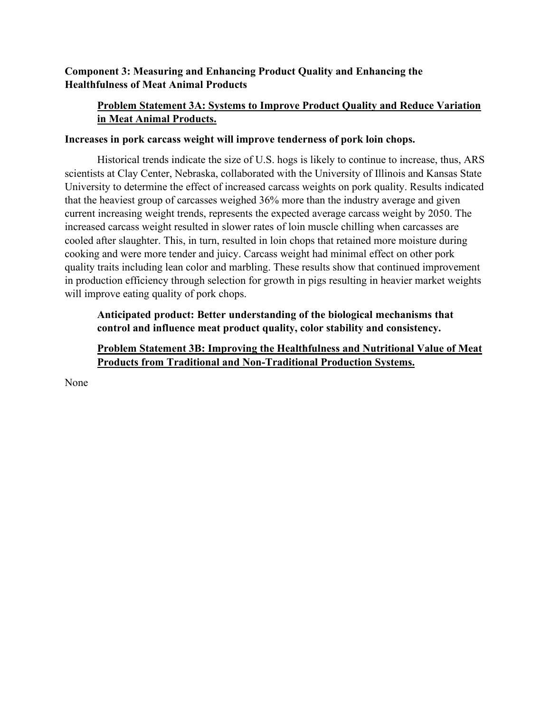# **Component 3: Measuring and Enhancing Product Quality and Enhancing the Healthfulness of Meat Animal Products**

# **Problem Statement 3A: Systems to Improve Product Quality and Reduce Variation in Meat Animal Products.**

#### **Increases in pork carcass weight will improve tenderness of pork loin chops.**

Historical trends indicate the size of U.S. hogs is likely to continue to increase, thus, ARS scientists at Clay Center, Nebraska, collaborated with the University of Illinois and Kansas State University to determine the effect of increased carcass weights on pork quality. Results indicated that the heaviest group of carcasses weighed 36% more than the industry average and given current increasing weight trends, represents the expected average carcass weight by 2050. The increased carcass weight resulted in slower rates of loin muscle chilling when carcasses are cooled after slaughter. This, in turn, resulted in loin chops that retained more moisture during cooking and were more tender and juicy. Carcass weight had minimal effect on other pork quality traits including lean color and marbling. These results show that continued improvement in production efficiency through selection for growth in pigs resulting in heavier market weights will improve eating quality of pork chops.

### **Anticipated product: Better understanding of the biological mechanisms that control and influence meat product quality, color stability and consistency.**

### **Problem Statement 3B: Improving the Healthfulness and Nutritional Value of Meat Products from Traditional and Non-Traditional Production Systems.**

None